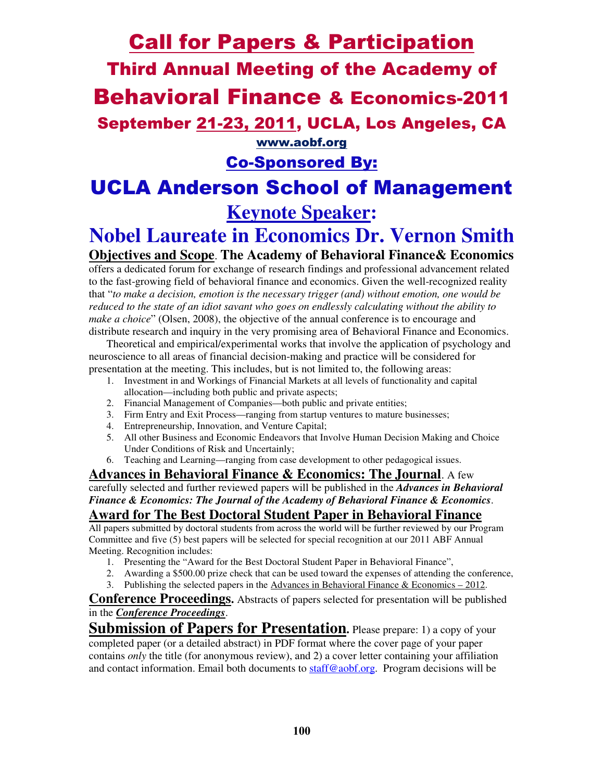# Call for Papers & Participation Third Annual Meeting of the Academy of Behavioral Finance & Economics-2011 September 21-23, 2011, UCLA, Los Angeles, CA www.aobf.org

# Co-Sponsored By:

# UCLA Anderson School of Management **Keynote Speaker:**

# **Nobel Laureate in Economics Dr. Vernon Smith**

# **Objectives and Scope**. **The Academy of Behavioral Finance& Economics**

offers a dedicated forum for exchange of research findings and professional advancement related to the fast-growing field of behavioral finance and economics. Given the well-recognized reality that "*to make a decision, emotion is the necessary trigger (and) without emotion, one would be reduced to the state of an idiot savant who goes on endlessly calculating without the ability to make a choice*" (Olsen, 2008), the objective of the annual conference is to encourage and distribute research and inquiry in the very promising area of Behavioral Finance and Economics.

Theoretical and empirical/experimental works that involve the application of psychology and neuroscience to all areas of financial decision-making and practice will be considered for presentation at the meeting. This includes, but is not limited to, the following areas:

- 1. Investment in and Workings of Financial Markets at all levels of functionality and capital allocation—including both public and private aspects;
- 2. Financial Management of Companies—both public and private entities;
- 3. Firm Entry and Exit Process—ranging from startup ventures to mature businesses;
- 4. Entrepreneurship, Innovation, and Venture Capital;
- 5. All other Business and Economic Endeavors that Involve Human Decision Making and Choice Under Conditions of Risk and Uncertainly;
- 6. Teaching and Learning—ranging from case development to other pedagogical issues.

**Advances in Behavioral Finance & Economics: The Journal**. A few carefully selected and further reviewed papers will be published in the *Advances in Behavioral Finance & Economics: The Journal of the Academy of Behavioral Finance & Economics*.

# **Award for The Best Doctoral Student Paper in Behavioral Finance**

All papers submitted by doctoral students from across the world will be further reviewed by our Program Committee and five (5) best papers will be selected for special recognition at our 2011 ABF Annual Meeting. Recognition includes:

- 1. Presenting the "Award for the Best Doctoral Student Paper in Behavioral Finance",
- 2. Awarding a \$500.00 prize check that can be used toward the expenses of attending the conference,
- 3. Publishing the selected papers in the Advances in Behavioral Finance  $& Economics 2012$ .

**Conference Proceedings.** Abstracts of papers selected for presentation will be published in the *Conference Proceedings*.

**Submission of Papers for Presentation.** Please prepare: 1) a copy of your completed paper (or a detailed abstract) in PDF format where the cover page of your paper contains *only* the title (for anonymous review), and 2) a cover letter containing your affiliation and contact information. Email both documents to staff@aobf.org. Program decisions will be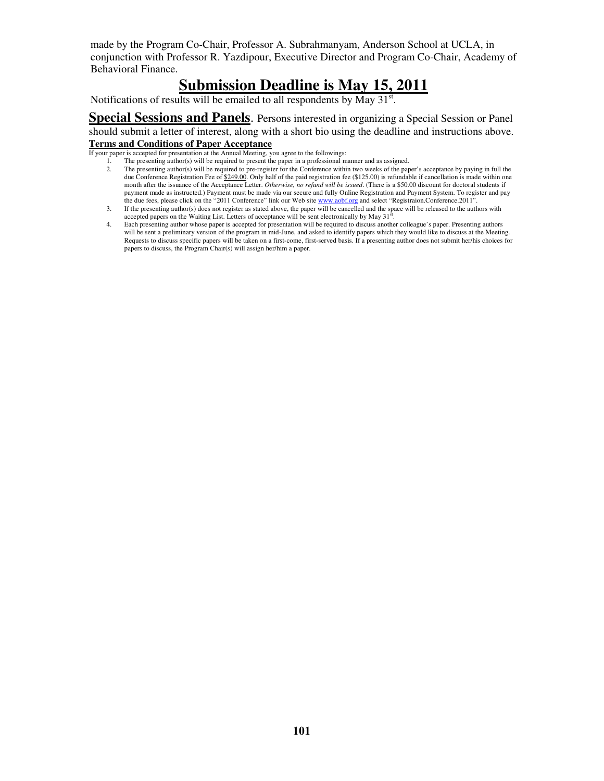made by the Program Co-Chair, Professor A. Subrahmanyam, Anderson School at UCLA, in conjunction with Professor R. Yazdipour, Executive Director and Program Co-Chair, Academy of Behavioral Finance.

# **Submission Deadline is May 15, 2011**

Notifications of results will be emailed to all respondents by May  $31<sup>st</sup>$ .

**Special Sessions and Panels**. Persons interested in organizing a Special Session or Panel should submit a letter of interest, along with a short bio using the deadline and instructions above. **Terms and Conditions of Paper Acceptance**

If your paper is accepted for presentation at the Annual Meeting, you agree to the followings:

- The presenting author(s) will be required to present the paper in a professional manner and as assigned.
	- 2. The presenting author(s) will be required to pre-register for the Conference within two weeks of the paper's acceptance by paying in full the due Conference Registration Fee of \$249.00. Only half of the paid registration fee (\$125.00) is refundable if cancellation is made within one month after the issuance of the Acceptance Letter. *Otherwise, no refund will be issued*. (There is a \$50.00 discount for doctoral students if payment made as instructed.) Payment must be made via our secure and fully Online Registration and Payment System. To register and pay the due fees, please click on the "2011 Conference" link our Web site www.aobf.org and select "Registraion.Conference.2011".
	- 3. If the presenting author(s) does not register as stated above, the paper will be cancelled and the space will be released to the authors with accepted papers on the Waiting List. Letters of acceptance will be sent electronically by May  $31<sup>st</sup>$ .
- 4. Each presenting author whose paper is accepted for presentation will be required to discuss another colleague's paper. Presenting authors will be sent a preliminary version of the program in mid-June, and asked to identify papers which they would like to discuss at the Meeting. Requests to discuss specific papers will be taken on a first-come, first-served basis. If a presenting author does not submit her/his choices for papers to discuss, the Program Chair(s) will assign her/him a paper.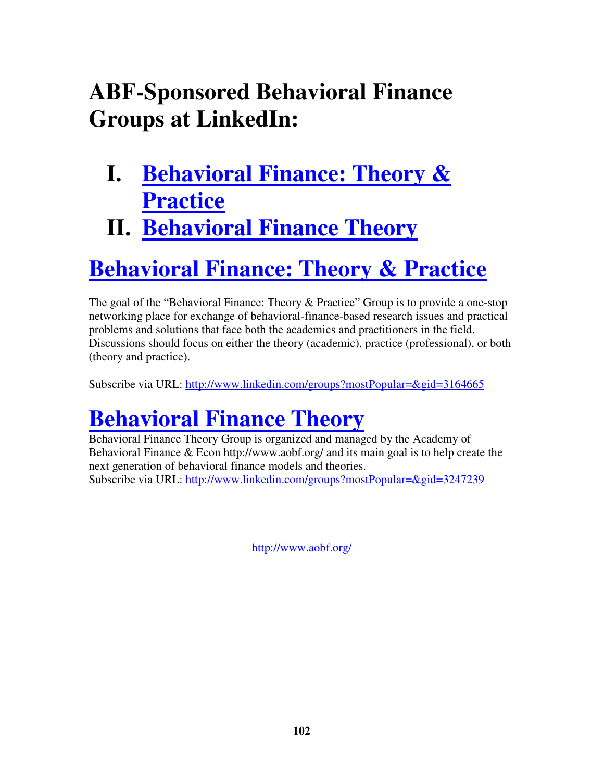# **ABF-Sponsored Behavioral Finance Groups at LinkedIn:**

- **I. Behavioral Finance: Theory & Practice**
- **II. Behavioral Finance Theory**

# **Behavioral Finance: Theory & Practice**

The goal of the "Behavioral Finance: Theory & Practice" Group is to provide a one-stop networking place for exchange of behavioral-finance-based research issues and practical problems and solutions that face both the academics and practitioners in the field. Discussions should focus on either the theory (academic), practice (professional), or both (theory and practice).

Subscribe via URL: http://www.linkedin.com/groups?mostPopular=&gid=3164665

# **Behavioral Finance Theory**

Behavioral Finance Theory Group is organized and managed by the Academy of Behavioral Finance  $\&$  Econ http://www.aobf.org/ and its main goal is to help create the next generation of behavioral finance models and theories. Subscribe via URL: http://www.linkedin.com/groups?mostPopular=&gid=3247239

http://www.aobf.org/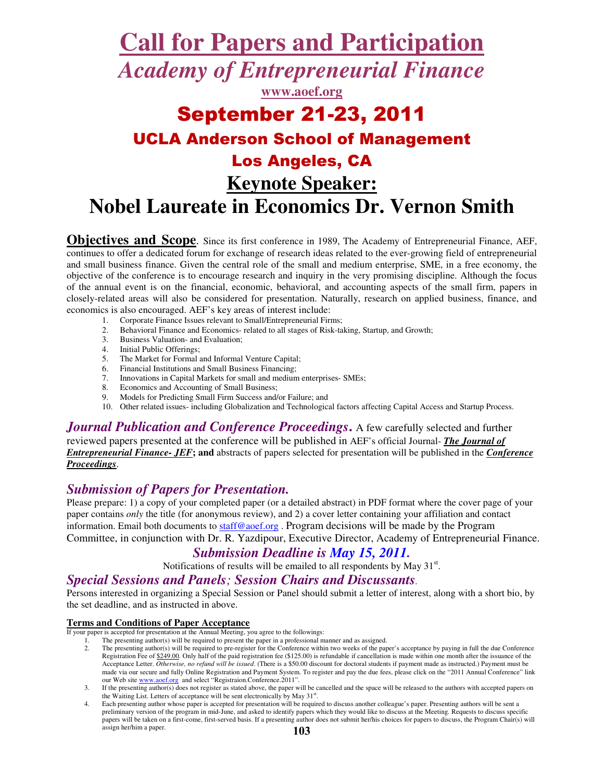# **Call for Papers and Participation**

*Academy of Entrepreneurial Finance*

**www.aoef.org**

# September 21-23, 2011 UCLA Anderson School of Management Los Angeles, CA **Keynote Speaker: Nobel Laureate in Economics Dr. Vernon Smith**

**Objectives and Scope**. Since its first conference in 1989, The Academy of Entrepreneurial Finance, AEF, continues to offer a dedicated forum for exchange of research ideas related to the ever-growing field of entrepreneurial and small business finance. Given the central role of the small and medium enterprise, SME, in a free economy, the objective of the conference is to encourage research and inquiry in the very promising discipline. Although the focus of the annual event is on the financial, economic, behavioral, and accounting aspects of the small firm, papers in closely-related areas will also be considered for presentation. Naturally, research on applied business, finance, and economics is also encouraged. AEF's key areas of interest include:

- 1. Corporate Finance Issues relevant to Small/Entrepreneurial Firms;
- 2. Behavioral Finance and Economics- related to all stages of Risk-taking, Startup, and Growth;
- 3. Business Valuation- and Evaluation;
- 4. Initial Public Offerings;
- 5. The Market for Formal and Informal Venture Capital;
- 6. Financial Institutions and Small Business Financing;
- 7. Innovations in Capital Markets for small and medium enterprises- SMEs;
- 8. Economics and Accounting of Small Business;
- 9. Models for Predicting Small Firm Success and/or Failure; and
- 10. Other related issues- including Globalization and Technological factors affecting Capital Access and Startup Process.

*Journal Publication and Conference Proceedings*. A few carefully selected and further reviewed papers presented at the conference will be published in AEF's official Journal- *The Journal of Entrepreneurial Finance- JEF***; and** abstracts of papers selected for presentation will be published in the *Conference Proceedings*.

## *Submission of Papers for Presentation.*

Please prepare: 1) a copy of your completed paper (or a detailed abstract) in PDF format where the cover page of your paper contains *only* the title (for anonymous review), and 2) a cover letter containing your affiliation and contact information. Email both documents to  $stat@aoef.org$ . Program decisions will be made by the Program Committee, in conjunction with Dr. R. Yazdipour, Executive Director, Academy of Entrepreneurial Finance.

## *Submission Deadline is May 15, 2011.*

Notifications of results will be emailed to all respondents by May  $31<sup>st</sup>$ .

#### *Special Sessions and Panels; Session Chairs and Discussants.*

Persons interested in organizing a Special Session or Panel should submit a letter of interest, along with a short bio, by the set deadline, and as instructed in above.

#### **Terms and Conditions of Paper Acceptance**

- If your paper is accepted for presentation at the Annual Meeting, you agree to the followings:
	- 1. The presenting author(s) will be required to present the paper in a professional manner and as assigned.<br>2. The presenting author(s) will be required to pre-register for the Conference within two weeks of the par-
	- 2. The presenting author(s) will be required to pre-register for the Conference within two weeks of the paper's acceptance by paying in full the due Conference Registration Fee of \$249.00. Only half of the paid registration fee (\$125.00) is refundable if cancellation is made within one month after the issuance of the Acceptance Letter. *Otherwise, no refund will be issued*. (There is a \$50.00 discount for doctoral students if payment made as instructed.) Payment must be made via our secure and fully Online Registration and Payment System. To register and pay the due fees, please click on the "2011 Annual Conference" link our Web site www.aoef.org and select "Registraion.Conference.2011".
	- 3. If the presenting author(s) does not register as stated above, the paper will be cancelled and the space will be released to the authors with accepted papers on the Waiting List. Letters of acceptance will be sent electronically by May 31<sup>st</sup>.
	- 4. Each presenting author whose paper is accepted for presentation will be required to discuss another colleague's paper. Presenting authors will be sent a preliminary version of the program in mid-June, and asked to identify papers which they would like to discuss at the Meeting. Requests to discuss specific papers will be taken on a first-come, first-served basis. If a presenting author does not submit her/his choices for papers to discuss, the Program Chair(s) will assign her/him a paper.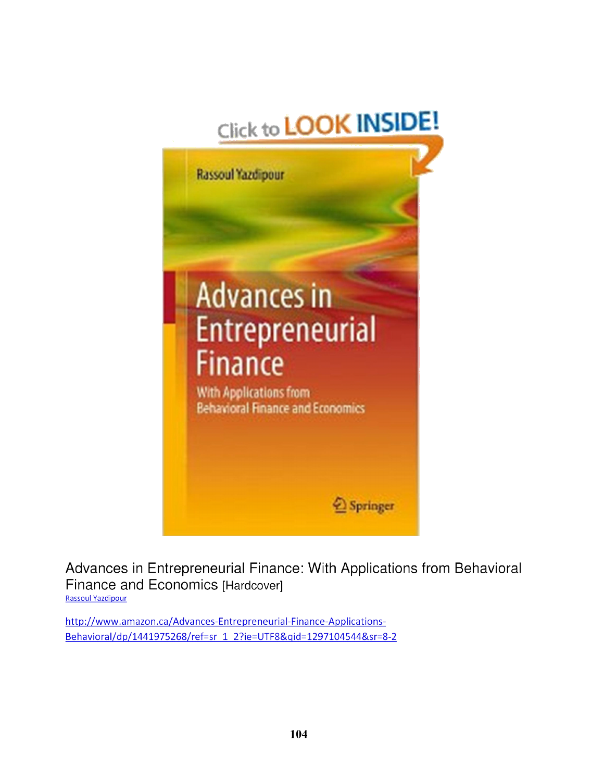



Advances in Entrepreneurial Finance: With Applications from Behavioral Finance and Economics [Hardcover] **Rassoul Yazdipour** 

http://www.amazon.ca/Advances-Entrepreneurial-Finance-Applications-Behavioral/dp/1441975268/ref=sr 1 2?ie=UTF8&gid=1297104544&sr=8-2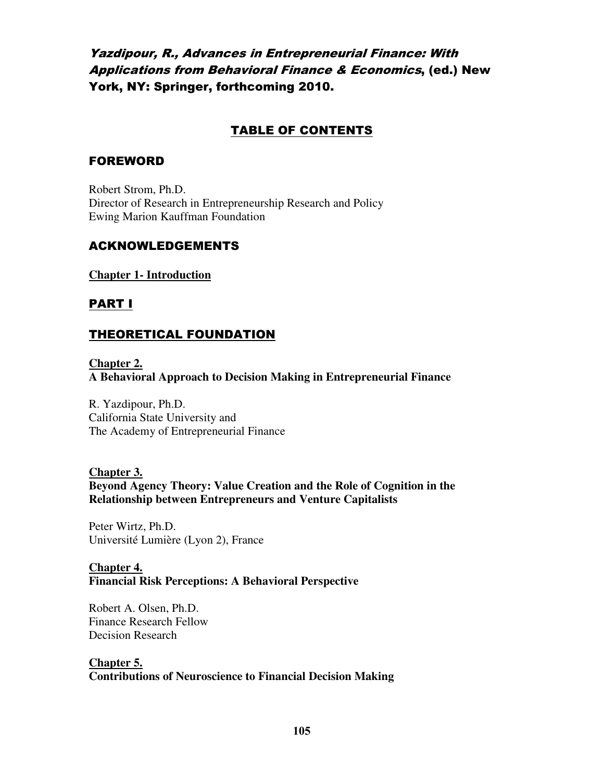# Yazdipour, R., Advances in Entrepreneurial Finance: With Applications from Behavioral Finance & Economics, (ed.) New York, NY: Springer, forthcoming 2010.

## TABLE OF CONTENTS

#### FOREWORD

Robert Strom, Ph.D. Director of Research in Entrepreneurship Research and Policy Ewing Marion Kauffman Foundation

### ACKNOWLEDGEMENTS

**Chapter 1- Introduction**

## PART I

# THEORETICAL FOUNDATION

**Chapter 2. A Behavioral Approach to Decision Making in Entrepreneurial Finance** 

R. Yazdipour, Ph.D. California State University and The Academy of Entrepreneurial Finance

#### **Chapter 3.**

**Beyond Agency Theory: Value Creation and the Role of Cognition in the Relationship between Entrepreneurs and Venture Capitalists** 

Peter Wirtz, Ph.D. Université Lumière (Lyon 2), France

**Chapter 4. Financial Risk Perceptions: A Behavioral Perspective** 

Robert A. Olsen, Ph.D. Finance Research Fellow Decision Research

# **Chapter 5.**

**Contributions of Neuroscience to Financial Decision Making**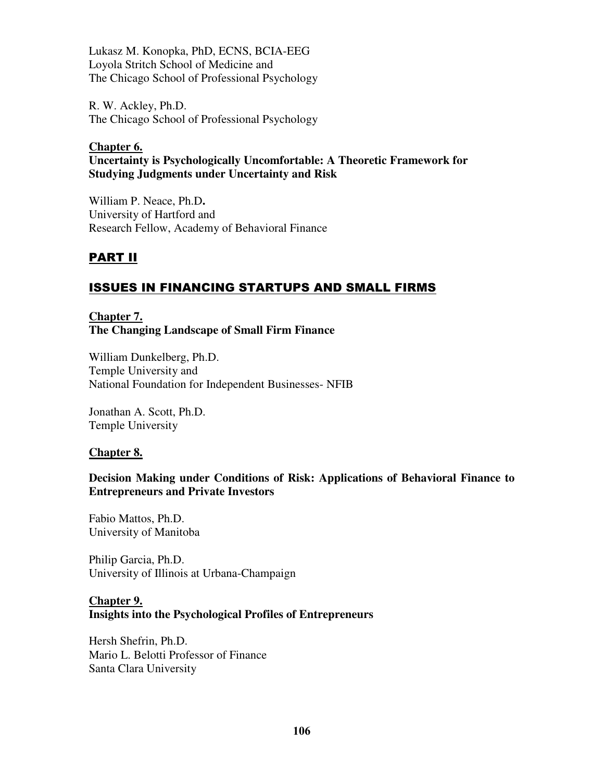Lukasz M. Konopka, PhD, ECNS, BCIA-EEG Loyola Stritch School of Medicine and The Chicago School of Professional Psychology

R. W. Ackley, Ph.D. The Chicago School of Professional Psychology

#### **Chapter 6.**

#### **Uncertainty is Psychologically Uncomfortable: A Theoretic Framework for Studying Judgments under Uncertainty and Risk**

William P. Neace, Ph.D**.**  University of Hartford and Research Fellow, Academy of Behavioral Finance

# PART II

# ISSUES IN FINANCING STARTUPS AND SMALL FIRMS

**Chapter 7. The Changing Landscape of Small Firm Finance** 

William Dunkelberg, Ph.D. Temple University and National Foundation for Independent Businesses- NFIB

Jonathan A. Scott, Ph.D. Temple University

#### **Chapter 8.**

#### **Decision Making under Conditions of Risk: Applications of Behavioral Finance to Entrepreneurs and Private Investors**

Fabio Mattos, Ph.D. University of Manitoba

Philip Garcia, Ph.D. University of Illinois at Urbana-Champaign

#### **Chapter 9. Insights into the Psychological Profiles of Entrepreneurs**

Hersh Shefrin, Ph.D. Mario L. Belotti Professor of Finance Santa Clara University